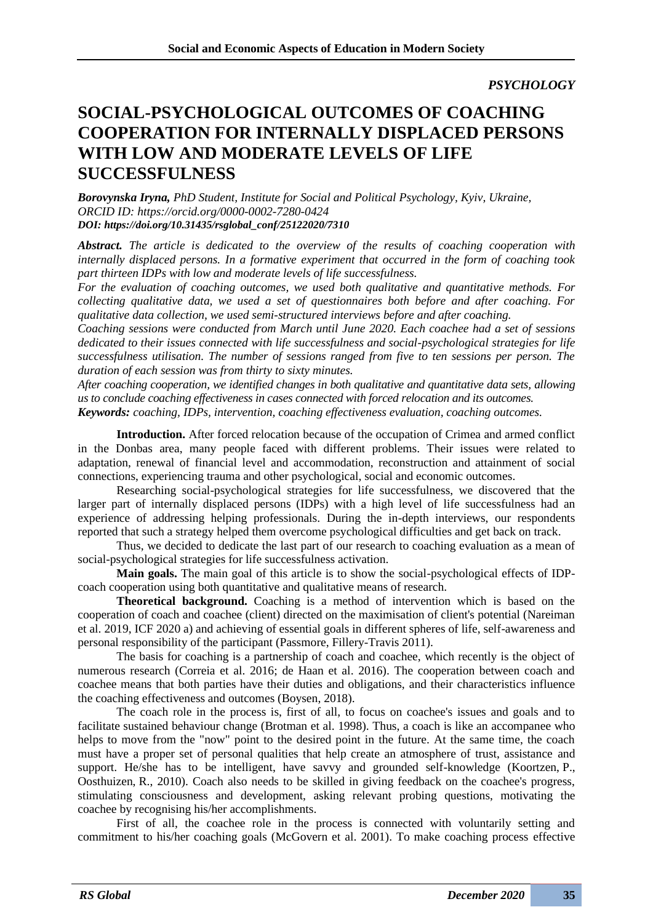*PSYCHOLOGY*

## **SOCIAL-PSYCHOLOGICAL OUTCOMES OF COACHING COOPERATION FOR INTERNALLY DISPLACED PERSONS WITH LOW AND MODERATE LEVELS OF LIFE SUCCESSFULNESS**

*Borovynska Iryna, PhD Student, Institute for Social and Political Psychology, Kyiv, Ukraine, ORCID ID: https://orcid.org/0000-0002-7280-0424 DOI: https://doi.org/10.31435/rsglobal\_conf/25122020/7310*

*Abstract. The article is dedicated to the overview of the results of coaching cooperation with internally displaced persons. In a formative experiment that occurred in the form of coaching took part thirteen IDPs with low and moderate levels of life successfulness.*

*For the evaluation of coaching outcomes, we used both qualitative and quantitative methods. For collecting qualitative data, we used a set of questionnaires both before and after coaching. For qualitative data collection, we used semi-structured interviews before and after coaching.*

*Coaching sessions were conducted from March until June 2020. Each coachee had a set of sessions dedicated to their issues connected with life successfulness and social-psychological strategies for life successfulness utilisation. The number of sessions ranged from five to ten sessions per person. The duration of each session was from thirty to sixty minutes.* 

*After coaching cooperation, we identified changes in both qualitative and quantitative data sets, allowing us to conclude coaching effectiveness in cases connected with forced relocation and its outcomes. Keywords: coaching, IDPs, intervention, coaching effectiveness evaluation, coaching outcomes.*

**Introduction.** After forced relocation because of the occupation of Crimea and armed conflict in the Donbas area, many people faced with different problems. Their issues were related to adaptation, renewal of financial level and accommodation, reconstruction and attainment of social connections, experiencing trauma and other psychological, social and economic outcomes.

Researching social-psychological strategies for life successfulness, we discovered that the larger part of internally displaced persons (IDPs) with a high level of life successfulness had an experience of addressing helping professionals. During the in-depth interviews, our respondents reported that such a strategy helped them overcome psychological difficulties and get back on track.

Thus, we decided to dedicate the last part of our research to coaching evaluation as a mean of social-psychological strategies for life successfulness activation.

**Main goals.** The main goal of this article is to show the social-psychological effects of IDPcoach cooperation using both quantitative and qualitative means of research.

**Theoretical background.** Coaching is a method of intervention which is based on the cooperation of coach and coachee (client) directed on the maximisation of client's potential (Nareiman et al. 2019, ICF 2020 a) and achieving of essential goals in different spheres of life, self-awareness and personal responsibility of the participant (Passmore, Fillery-Travis 2011).

The basis for coaching is a partnership of coach and coachee, which recently is the object of numerous research (Correia et al. 2016; de Haan et al. 2016). The cooperation between coach and coachee means that both parties have their duties and obligations, and their characteristics influence the coaching effectiveness and outcomes (Boysen, 2018).

The coach role in the process is, first of all, to focus on coachee's issues and goals and to facilitate sustained behaviour change (Brotman et al. 1998). Thus, a coach is like an accompanee who helps to move from the "now" point to the desired point in the future. At the same time, the coach must have a proper set of personal qualities that help create an atmosphere of trust, assistance and support. He/she has to be intelligent, have savvy and grounded self-knowledge (Koortzen, P., Oosthuizen, R., 2010). Coach also needs to be skilled in giving feedback on the coachee's progress, stimulating consciousness and development, asking relevant probing questions, motivating the coachee by recognising his/her accomplishments.

First of all, the coachee role in the process is connected with voluntarily setting and commitment to his/her coaching goals (McGovern et al. 2001). To make coaching process effective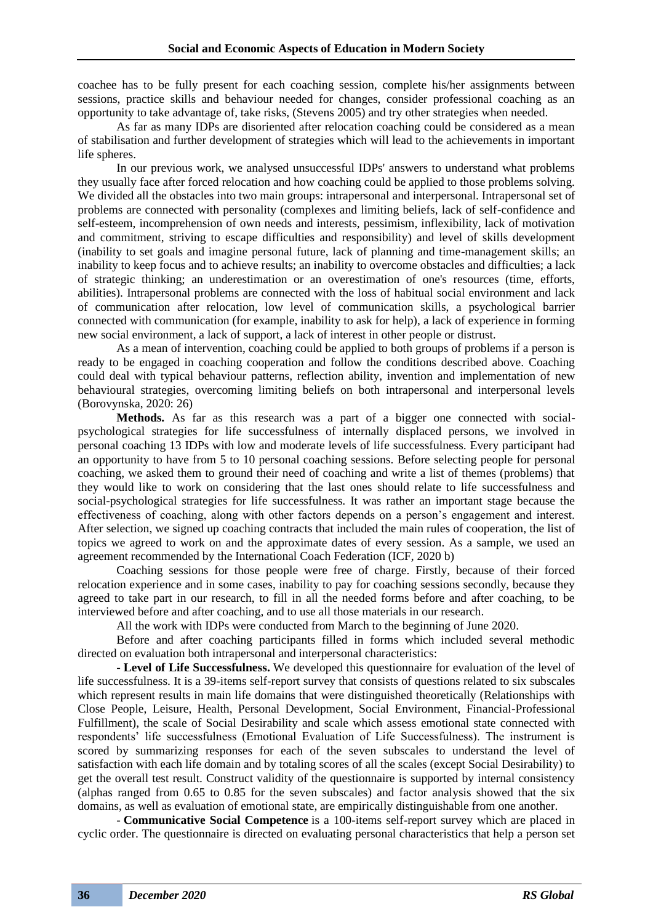coachee has to be fully present for each coaching session, complete his/her assignments between sessions, practice skills and behaviour needed for changes, consider professional coaching as an opportunity to take advantage of, take risks, (Stevens 2005) and try other strategies when needed.

As far as many IDPs are disoriented after relocation coaching could be considered as a mean of stabilisation and further development of strategies which will lead to the achievements in important life spheres.

In our previous work, we analysed unsuccessful IDPs' answers to understand what problems they usually face after forced relocation and how coaching could be applied to those problems solving. We divided all the obstacles into two main groups: intrapersonal and interpersonal. Intrapersonal set of problems are connected with personality (complexes and limiting beliefs, lack of self-confidence and self-esteem, incomprehension of own needs and interests, pessimism, inflexibility, lack of motivation and commitment, striving to escape difficulties and responsibility) and level of skills development (inability to set goals and imagine personal future, lack of planning and time-management skills; an inability to keep focus and to achieve results; an inability to overcome obstacles and difficulties; a lack of strategic thinking; an underestimation or an overestimation of one's resources (time, efforts, abilities). Intrapersonal problems are connected with the loss of habitual social environment and lack of communication after relocation, low level of communication skills, a psychological barrier connected with communication (for example, inability to ask for help), a lack of experience in forming new social environment, a lack of support, a lack of interest in other people or distrust.

As a mean of intervention, coaching could be applied to both groups of problems if a person is ready to be engaged in coaching cooperation and follow the conditions described above. Coaching could deal with typical behaviour patterns, reflection ability, invention and implementation of new behavioural strategies, overcoming limiting beliefs on both intrapersonal and interpersonal levels (Borovynska, 2020: 26)

**Methods.** As far as this research was a part of a bigger one connected with socialpsychological strategies for life successfulness of internally displaced persons, we involved in personal coaching 13 IDPs with low and moderate levels of life successfulness. Every participant had an opportunity to have from 5 to 10 personal coaching sessions. Before selecting people for personal coaching, we asked them to ground their need of coaching and write a list of themes (problems) that they would like to work on considering that the last ones should relate to life successfulness and social-psychological strategies for life successfulness. It was rather an important stage because the effectiveness of coaching, along with other factors depends on a person's engagement and interest. After selection, we signed up coaching contracts that included the main rules of cooperation, the list of topics we agreed to work on and the approximate dates of every session. As a sample, we used an agreement recommended by the International Coach Federation (ICF, 2020 b)

Coaching sessions for those people were free of charge. Firstly, because of their forced relocation experience and in some cases, inability to pay for coaching sessions secondly, because they agreed to take part in our research, to fill in all the needed forms before and after coaching, to be interviewed before and after coaching, and to use all those materials in our research.

All the work with IDPs were conducted from March to the beginning of June 2020.

Before and after coaching participants filled in forms which included several methodic directed on evaluation both intrapersonal and interpersonal characteristics:

- **Level of Life Successfulness.** We developed this questionnaire for evaluation of the level of life successfulness. It is a 39-items self-report survey that consists of questions related to six subscales which represent results in main life domains that were distinguished theoretically (Relationships with Close People, Leisure, Health, Personal Development, Social Environment, Financial-Professional Fulfillment), the scale of Social Desirability and scale which assess emotional state connected with respondents' life successfulness (Emotional Evaluation of Life Successfulness). The instrument is scored by summarizing responses for each of the seven subscales to understand the level of satisfaction with each life domain and by totaling scores of all the scales (except Social Desirability) to get the overall test result. Construct validity of the questionnaire is supported by internal consistency (alphas ranged from 0.65 to 0.85 for the seven subscales) and factor analysis showed that the six domains, as well as evaluation of emotional state, are empirically distinguishable from one another.

- **Communicative Social Competence** is a 100-items self-report survey which are placed in cyclic order. The questionnaire is directed on evaluating personal characteristics that help a person set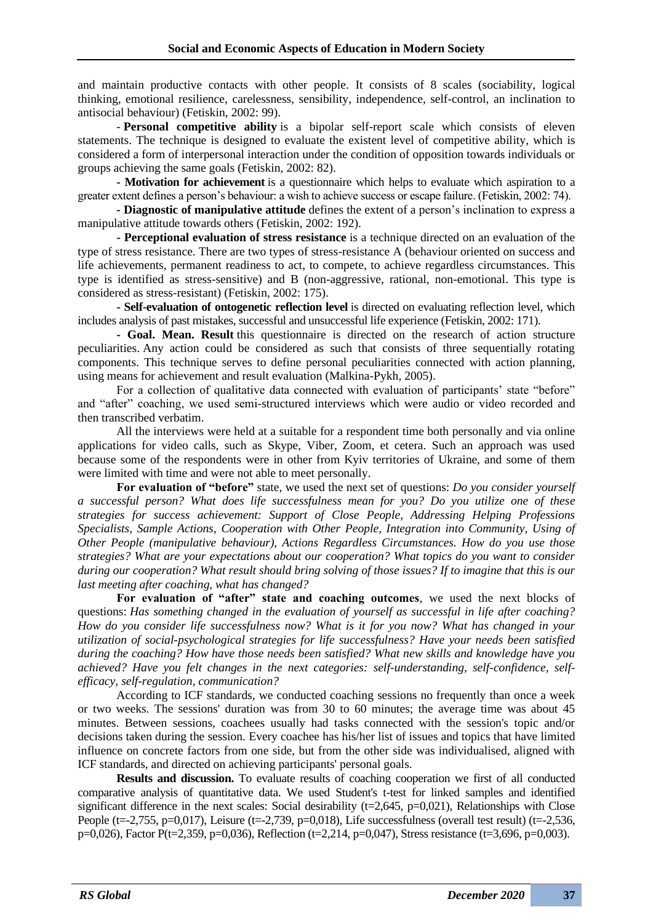and maintain productive contacts with other people. It consists of 8 scales (sociability, logical thinking, emotional resilience, carelessness, sensibility, independence, self-control, an inclination to antisocial behaviour) (Fetiskin, 2002: 99).

- **Personal competitive ability** is a bipolar self-report scale which consists of eleven statements. The technique is designed to evaluate the existent level of competitive ability, which is considered a form of interpersonal interaction under the condition of opposition towards individuals or groups achieving the same goals (Fetiskin, 2002: 82).

**- Motivation for achievement** is a questionnaire which helps to evaluate which aspiration to a greater extent defines a person's behaviour: a wish to achieve success or escape failure. (Fetiskin, 2002: 74).

**- Diagnostic of manipulative attitude** defines the extent of a person's inclination to express a manipulative attitude towards others (Fetiskin, 2002: 192).

**- Perceptional evaluation of stress resistance** is a technique directed on an evaluation of the type of stress resistance. There are two types of stress-resistance A (behaviour oriented on success and life achievements, permanent readiness to act, to compete, to achieve regardless circumstances. This type is identified as stress-sensitive) and B (non-aggressive, rational, non-emotional. This type is considered as stress-resistant) (Fetiskin, 2002: 175).

**- Self-evaluation of ontogenetic reflection level** is directed on evaluating reflection level, which includes analysis of past mistakes, successful and unsuccessful life experience (Fetiskin, 2002: 171).

**- Goal. Mean. Result** this questionnaire is directed on the research of action structure peculiarities. Any action could be considered as such that consists of three sequentially rotating components. This technique serves to define personal peculiarities connected with action planning, using means for achievement and result evaluation (Malkina-Pykh, 2005).

For a collection of qualitative data connected with evaluation of participants' state "before" and "after" coaching, we used semi-structured interviews which were audio or video recorded and then transcribed verbatim.

All the interviews were held at a suitable for a respondent time both personally and via online applications for video calls, such as Skype, Viber, Zoom, et cetera. Such an approach was used because some of the respondents were in other from Kyiv territories of Ukraine, and some of them were limited with time and were not able to meet personally.

**For evaluation of "before"** state, we used the next set of questions: *Do you consider yourself a successful person? What does life successfulness mean for you? Do you utilize one of these strategies for success achievement: Support of Close People, Addressing Helping Professions Specialists, Sample Actions, Cooperation with Other People, Integration into Community, Using of Other People (manipulative behaviour), Actions Regardless Circumstances. How do you use those strategies? What are your expectations about our cooperation? What topics do you want to consider during our cooperation? What result should bring solving of those issues? If to imagine that this is our last meeting after coaching, what has changed?* 

**For evaluation of "after" state and coaching outcomes**, we used the next blocks of questions: *Has something changed in the evaluation of yourself as successful in life after coaching? How do you consider life successfulness now? What is it for you now? What has changed in your utilization of social-psychological strategies for life successfulness? Have your needs been satisfied during the coaching? How have those needs been satisfied? What new skills and knowledge have you achieved? Have you felt changes in the next categories: self-understanding, self-confidence, selfefficacy, self-regulation, communication?*

According to ICF standards, we conducted coaching sessions no frequently than once a week or two weeks. The sessions' duration was from 30 to 60 minutes; the average time was about 45 minutes. Between sessions, coachees usually had tasks connected with the session's topic and/or decisions taken during the session. Every coachee has his/her list of issues and topics that have limited influence on concrete factors from one side, but from the other side was individualised, aligned with ICF standards, and directed on achieving participants' personal goals.

**Results and discussion.** To evaluate results of coaching cooperation we first of all conducted comparative analysis of quantitative data. We used Student's t-test for linked samples and identified significant difference in the next scales: Social desirability  $(t=2,645, p=0,021)$ , Relationships with Close People (t=-2,755, p=0,017), Leisure (t=-2,739, p=0,018), Life successfulness (overall test result) (t=-2,536, p=0,026), Factor P(t=2,359, p=0,036), Reflection (t=2,214, p=0,047), Stress resistance (t=3,696, p=0,003).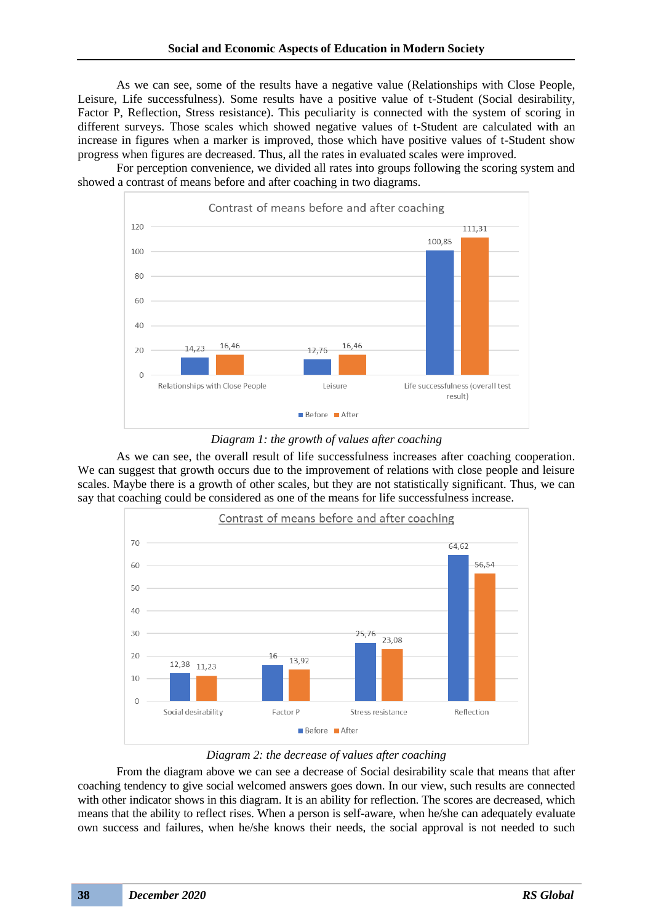As we can see, some of the results have a negative value (Relationships with Close People, Leisure, Life successfulness). Some results have a positive value of t-Student (Social desirability, Factor P, Reflection, Stress resistance). This peculiarity is connected with the system of scoring in different surveys. Those scales which showed negative values of t-Student are calculated with an increase in figures when a marker is improved, those which have positive values of t-Student show progress when figures are decreased. Thus, all the rates in evaluated scales were improved.

For perception convenience, we divided all rates into groups following the scoring system and showed a contrast of means before and after coaching in two diagrams.



*Diagram 1: the growth of values after coaching*

As we can see, the overall result of life successfulness increases after coaching cooperation. We can suggest that growth occurs due to the improvement of relations with close people and leisure scales. Maybe there is a growth of other scales, but they are not statistically significant. Thus, we can say that coaching could be considered as one of the means for life successfulness increase.



*Diagram 2: the decrease of values after coaching*

From the diagram above we can see a decrease of Social desirability scale that means that after coaching tendency to give social welcomed answers goes down. In our view, such results are connected with other indicator shows in this diagram. It is an ability for reflection. The scores are decreased, which means that the ability to reflect rises. When a person is self-aware, when he/she can adequately evaluate own success and failures, when he/she knows their needs, the social approval is not needed to such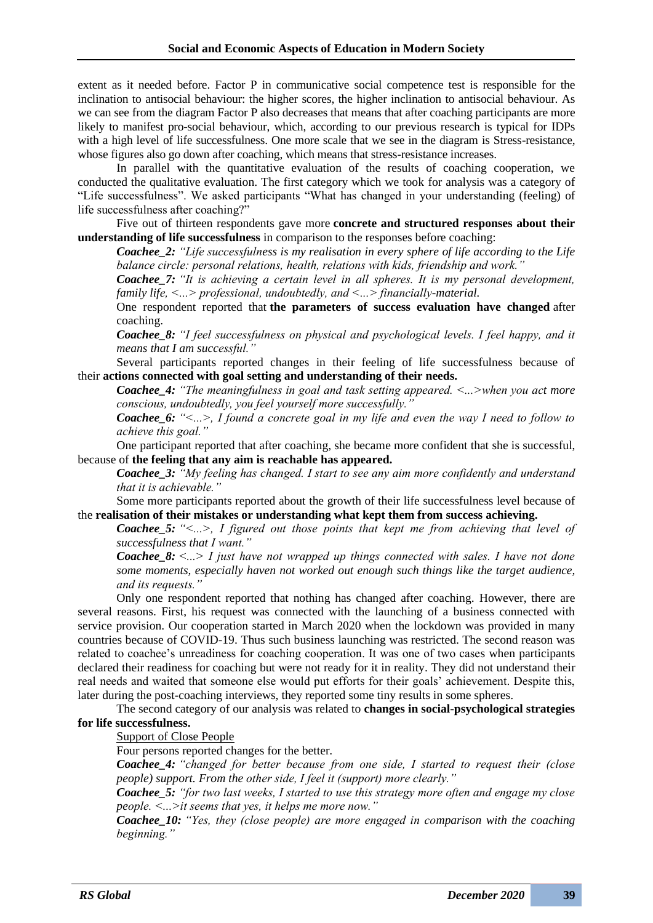extent as it needed before. Factor P in communicative social competence test is responsible for the inclination to antisocial behaviour: the higher scores, the higher inclination to antisocial behaviour. As we can see from the diagram Factor P also decreases that means that after coaching participants are more likely to manifest pro-social behaviour, which, according to our previous research is typical for IDPs with a high level of life successfulness. One more scale that we see in the diagram is Stress-resistance, whose figures also go down after coaching, which means that stress-resistance increases.

In parallel with the quantitative evaluation of the results of coaching cooperation, we conducted the qualitative evaluation. The first category which we took for analysis was a category of "Life successfulness". We asked participants "What has changed in your understanding (feeling) of life successfulness after coaching?"

Five out of thirteen respondents gave more **concrete and structured responses about their understanding of life successfulness** in comparison to the responses before coaching:

*Coachee\_2: "Life successfulness is my realisation in every sphere of life according to the Life balance circle: personal relations, health, relations with kids, friendship and work."*

*Coachee\_7: "It is achieving a certain level in all spheres. It is my personal development, family life, ˂...˃ professional, undoubtedly, and ˂...˃ financially-material.*

One respondent reported that **the parameters of success evaluation have changed** after coaching.

*Coachee\_8: "I feel successfulness on physical and psychological levels. I feel happy, and it means that I am successful."*

Several participants reported changes in their feeling of life successfulness because of their **actions connected with goal setting and understanding of their needs.**

*Coachee\_4: "The meaningfulness in goal and task setting appeared. ˂...˃when you act more conscious, undoubtedly, you feel yourself more successfully."*

*Coachee\_6: "˂...˃, I found a concrete goal in my life and even the way I need to follow to achieve this goal."*

One participant reported that after coaching, she became more confident that she is successful, because of **the feeling that any aim is reachable has appeared.**

*Coachee\_3: "My feeling has changed. I start to see any aim more confidently and understand that it is achievable."*

Some more participants reported about the growth of their life successfulness level because of the **realisation of their mistakes or understanding what kept them from success achieving.**

*Coachee\_5: "˂...˃, I figured out those points that kept me from achieving that level of successfulness that I want."*

*Coachee\_8: ˂...˃ I just have not wrapped up things connected with sales. I have not done some moments, especially haven not worked out enough such things like the target audience, and its requests."*

Only one respondent reported that nothing has changed after coaching. However, there are several reasons. First, his request was connected with the launching of a business connected with service provision. Our cooperation started in March 2020 when the lockdown was provided in many countries because of COVID-19. Thus such business launching was restricted. The second reason was related to coachee's unreadiness for coaching cooperation. It was one of two cases when participants declared their readiness for coaching but were not ready for it in reality. They did not understand their real needs and waited that someone else would put efforts for their goals' achievement. Despite this, later during the post-coaching interviews, they reported some tiny results in some spheres.

The second category of our analysis was related to **changes in social-psychological strategies for life successfulness.**

Support of Close People

Four persons reported changes for the better.

*Coachee\_4: "changed for better because from one side, I started to request their (close people) support. From the other side, I feel it (support) more clearly."*

*Coachee\_5: "for two last weeks, I started to use this strategy more often and engage my close people. ˂...˃it seems that yes, it helps me more now."*

*Coachee\_10: "Yes, they (close people) are more engaged in comparison with the coaching beginning."*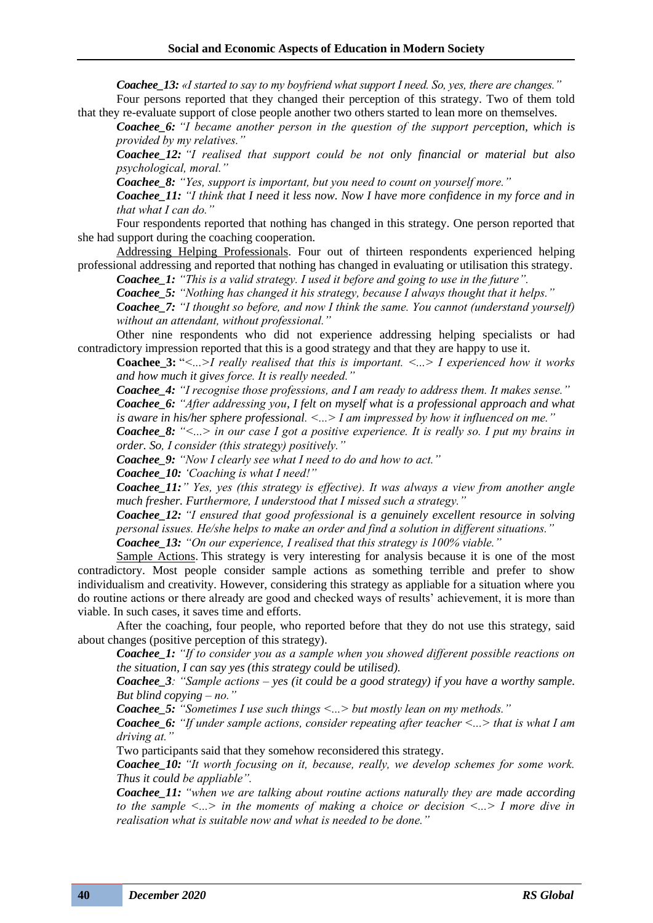*Coachee\_13: «I started to say to my boyfriend what support I need. So, yes, there are changes."*

Four persons reported that they changed their perception of this strategy. Two of them told that they re-evaluate support of close people another two others started to lean more on themselves.

*Coachee\_6: "I became another person in the question of the support perception, which is provided by my relatives."*

*Coachee\_12: "I realised that support could be not only financial or material but also psychological, moral."*

*Coachee\_8: "Yes, support is important, but you need to count on yourself more."*

*Coachee\_11: "I think that I need it less now. Now I have more confidence in my force and in that what I can do."*

Four respondents reported that nothing has changed in this strategy. One person reported that she had support during the coaching cooperation.

Addressing Helping Professionals. Four out of thirteen respondents experienced helping professional addressing and reported that nothing has changed in evaluating or utilisation this strategy. *Coachee\_1: "This is a valid strategy. I used it before and going to use in the future".*

*Coachee\_5: "Nothing has changed it his strategy, because I always thought that it helps." Coachee\_7: "I thought so before, and now I think the same. You cannot (understand yourself) without an attendant, without professional."*

Other nine respondents who did not experience addressing helping specialists or had contradictory impression reported that this is a good strategy and that they are happy to use it.

**Coachee\_3:** "*˂...˃I really realised that this is important. ˂...˃ I experienced how it works and how much it gives force. It is really needed."*

*Coachee\_4: "I recognise those professions, and I am ready to address them. It makes sense." Coachee\_6: "After addressing you, I felt on myself what is a professional approach and what* 

*is aware in his/her sphere professional. ˂...˃ I am impressed by how it influenced on me." Coachee\_8: "˂...˃ in our case I got a positive experience. It is really so. I put my brains in* 

*order. So, I consider (this strategy) positively."*

*Coachee\_9: "Now I clearly see what I need to do and how to act."*

*Coachee\_10: 'Coaching is what I need!"*

*Coachee\_11:" Yes, yes (this strategy is effective). It was always a view from another angle much fresher. Furthermore, I understood that I missed such a strategy."*

*Coachee\_12: "I ensured that good professional is a genuinely excellent resource in solving personal issues. He/she helps to make an order and find a solution in different situations."*

*Coachee\_13: "On our experience, I realised that this strategy is 100% viable."*

Sample Actions. This strategy is very interesting for analysis because it is one of the most contradictory. Most people consider sample actions as something terrible and prefer to show individualism and creativity. However, considering this strategy as appliable for a situation where you do routine actions or there already are good and checked ways of results' achievement, it is more than viable. In such cases, it saves time and efforts.

After the coaching, four people, who reported before that they do not use this strategy, said about changes (positive perception of this strategy).

*Coachee\_1: "If to consider you as a sample when you showed different possible reactions on the situation, I can say yes (this strategy could be utilised).*

*Coachee\_3: "Sample actions – yes (it could be a good strategy) if you have a worthy sample. But blind copying – no."*

*Coachee 5: "Sometimes I use such things*  $\lt...$  *but mostly lean on my methods."* 

*Coachee 6: "If under sample actions, consider repeating after teacher*  $\lt$ *...* that is what I am *driving at."*

Two participants said that they somehow reconsidered this strategy.

*Coachee\_10: "It worth focusing on it, because, really, we develop schemes for some work. Thus it could be appliable".*

*Coachee\_11: "when we are talking about routine actions naturally they are made according to the sample ˂...˃ in the moments of making a choice or decision ˂...˃ I more dive in realisation what is suitable now and what is needed to be done."*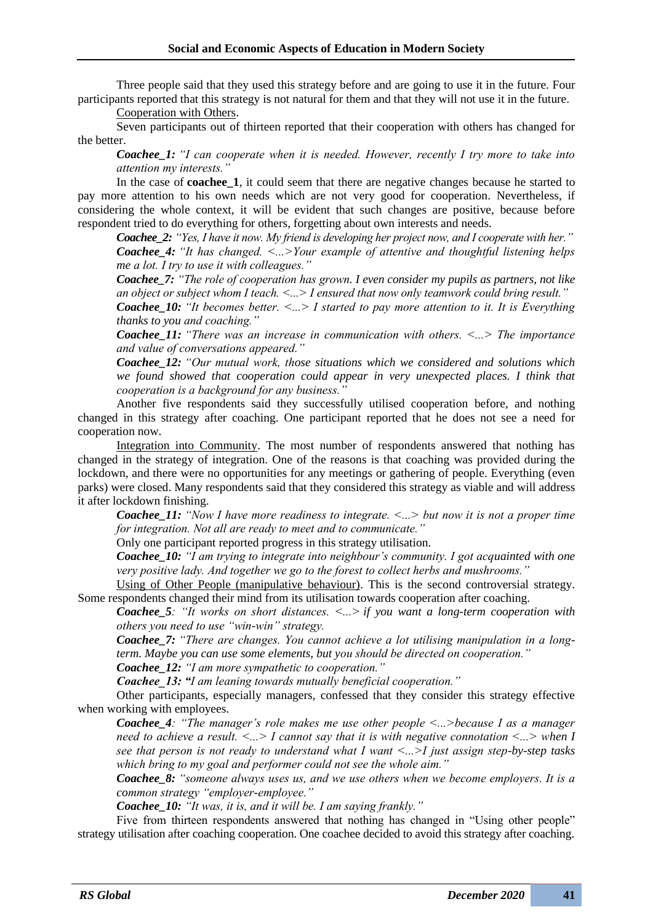Three people said that they used this strategy before and are going to use it in the future. Four participants reported that this strategy is not natural for them and that they will not use it in the future.

Cooperation with Others.

Seven participants out of thirteen reported that their cooperation with others has changed for the better.

*Coachee\_1: "I can cooperate when it is needed. However, recently I try more to take into attention my interests."*

In the case of **coachee** 1, it could seem that there are negative changes because he started to pay more attention to his own needs which are not very good for cooperation. Nevertheless, if considering the whole context, it will be evident that such changes are positive, because before respondent tried to do everything for others, forgetting about own interests and needs.

*Coachee\_2: "Yes, I have it now. My friend is developing her project now, and I cooperate with her." Coachee\_4: "It has changed. ˂...˃Your example of attentive and thoughtful listening helps me a lot. I try to use it with colleagues."*

*Coachee\_7: "The role of cooperation has grown. I even consider my pupils as partners, not like an object or subject whom I teach. ˂...˃ I ensured that now only teamwork could bring result."*

*Coachee 10: "It becomes better.*  $\lt ... \gt I$  *started to pay more attention to it. It is Everything thanks to you and coaching."*

*Coachee\_11: "There was an increase in communication with others. ˂...˃ The importance and value of conversations appeared."*

*Coachee\_12: "Our mutual work, those situations which we considered and solutions which*  we found showed that cooperation could appear in very unexpected places. I think that *cooperation is a background for any business."*

Another five respondents said they successfully utilised cooperation before, and nothing changed in this strategy after coaching. One participant reported that he does not see a need for cooperation now.

Integration into Community. The most number of respondents answered that nothing has changed in the strategy of integration. One of the reasons is that coaching was provided during the lockdown, and there were no opportunities for any meetings or gathering of people. Everything (even parks) were closed. Many respondents said that they considered this strategy as viable and will address it after lockdown finishing.

*Coachee\_11:* "Now I have more readiness to integrate.  $\lt ...$  but now it is not a proper time *for integration. Not all are ready to meet and to communicate."*

Only one participant reported progress in this strategy utilisation.

*Coachee\_10: "I am trying to integrate into neighbour's community. I got acquainted with one very positive lady. And together we go to the forest to collect herbs and mushrooms."*

Using of Other People (manipulative behaviour). This is the second controversial strategy. Some respondents changed their mind from its utilisation towards cooperation after coaching.

*Coachee\_5: "It works on short distances. ˂...˃ if you want a long-term cooperation with others you need to use "win-win" strategy.*

*Coachee\_7: "There are changes. You cannot achieve a lot utilising manipulation in a longterm. Maybe you can use some elements, but you should be directed on cooperation."*

*Coachee\_12: "I am more sympathetic to cooperation."*

*Coachee\_13: "I am leaning towards mutually beneficial cooperation."*

Other participants, especially managers, confessed that they consider this strategy effective when working with employees.

*Coachee\_4: "The manager's role makes me use other people ˂...˃because I as a manager need to achieve a result.*  $\langle ... \rangle$  *I cannot say that it is with negative connotation*  $\langle ... \rangle$  when *I see that person is not ready to understand what I want ˂...˃I just assign step-by-step tasks which bring to my goal and performer could not see the whole aim."*

*Coachee\_8: "someone always uses us, and we use others when we become employers. It is a common strategy "employer-employee."*

*Coachee\_10: "It was, it is, and it will be. I am saying frankly."*

Five from thirteen respondents answered that nothing has changed in "Using other people" strategy utilisation after coaching cooperation. One coachee decided to avoid this strategy after coaching.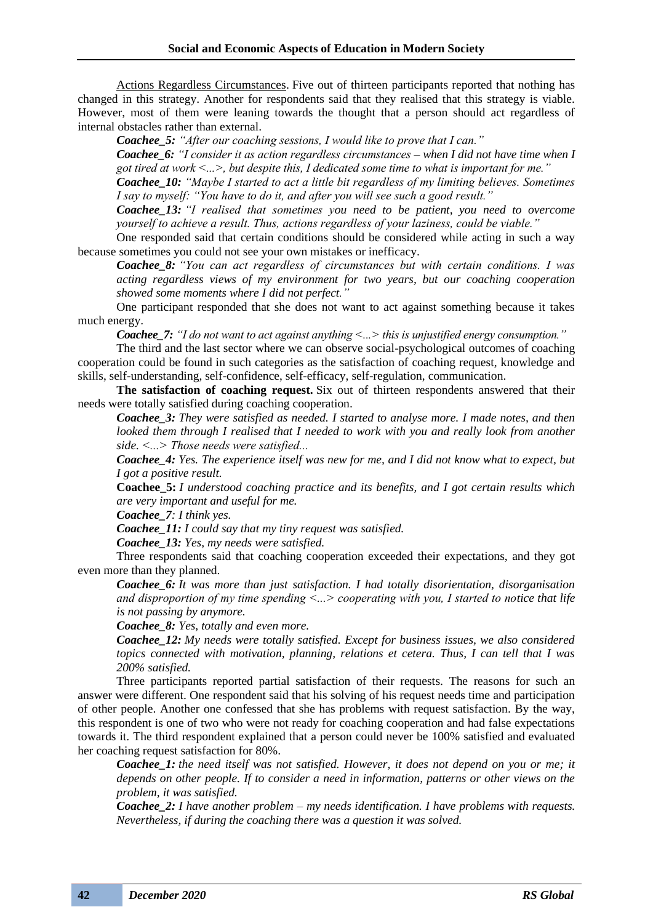Actions Regardless Circumstances. Five out of thirteen participants reported that nothing has changed in this strategy. Another for respondents said that they realised that this strategy is viable. However, most of them were leaning towards the thought that a person should act regardless of internal obstacles rather than external.

*Coachee\_5: "After our coaching sessions, I would like to prove that I can."*

*Coachee\_6: "I consider it as action regardless circumstances – when I did not have time when I got tired at work ˂...˃, but despite this, I dedicated some time to what is important for me."*

*Coachee\_10: "Maybe I started to act a little bit regardless of my limiting believes. Sometimes I say to myself: "You have to do it, and after you will see such a good result."*

*Coachee\_13: "I realised that sometimes you need to be patient, you need to overcome yourself to achieve a result. Thus, actions regardless of your laziness, could be viable."*

One responded said that certain conditions should be considered while acting in such a way because sometimes you could not see your own mistakes or inefficacy.

*Coachee\_8: "You can act regardless of circumstances but with certain conditions. I was acting regardless views of my environment for two years, but our coaching cooperation showed some moments where I did not perfect."*

One participant responded that she does not want to act against something because it takes much energy.

*Coachee 7: "I do not want to act against anything*  $\lt ...$  *<i>inis is unjustified energy consumption."* 

The third and the last sector where we can observe social-psychological outcomes of coaching cooperation could be found in such categories as the satisfaction of coaching request, knowledge and skills, self-understanding, self-confidence, self-efficacy, self-regulation, communication.

**The satisfaction of coaching request.** Six out of thirteen respondents answered that their needs were totally satisfied during coaching cooperation.

*Coachee\_3: They were satisfied as needed. I started to analyse more. I made notes, and then looked them through I realised that I needed to work with you and really look from another side. ˂...˃ Those needs were satisfied...*

*Coachee\_4: Yes. The experience itself was new for me, and I did not know what to expect, but I got a positive result.*

**Coachee\_5:** *I understood coaching practice and its benefits, and I got certain results which are very important and useful for me.*

*Coachee\_7: I think yes.*

*Coachee\_11: I could say that my tiny request was satisfied.*

*Coachee\_13: Yes, my needs were satisfied.*

Three respondents said that coaching cooperation exceeded their expectations, and they got even more than they planned.

*Coachee\_6: It was more than just satisfaction. I had totally disorientation, disorganisation and disproportion of my time spending ˂...˃ cooperating with you, I started to notice that life is not passing by anymore.*

*Coachee\_8: Yes, totally and even more.*

*Coachee\_12: My needs were totally satisfied. Except for business issues, we also considered topics connected with motivation, planning, relations et cetera. Thus, I can tell that I was 200% satisfied.*

Three participants reported partial satisfaction of their requests. The reasons for such an answer were different. One respondent said that his solving of his request needs time and participation of other people. Another one confessed that she has problems with request satisfaction. By the way, this respondent is one of two who were not ready for coaching cooperation and had false expectations towards it. The third respondent explained that a person could never be 100% satisfied and evaluated her coaching request satisfaction for 80%.

*Coachee\_1: the need itself was not satisfied. However, it does not depend on you or me; it depends on other people. If to consider a need in information, patterns or other views on the problem, it was satisfied.*

*Coachee\_2: I have another problem – my needs identification. I have problems with requests. Nevertheless, if during the coaching there was a question it was solved.*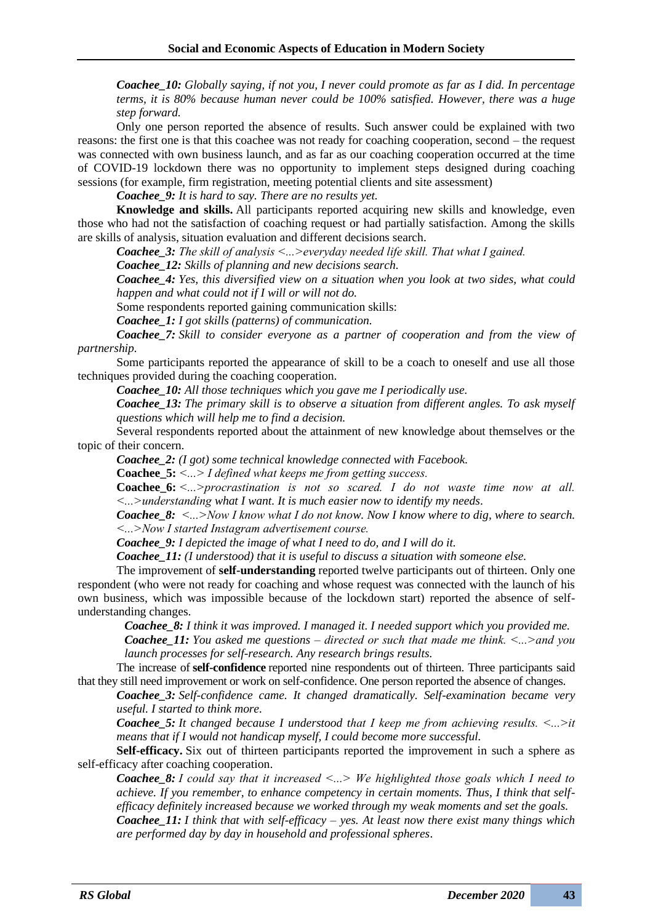*Coachee\_10: Globally saying, if not you, I never could promote as far as I did. In percentage terms, it is 80% because human never could be 100% satisfied. However, there was a huge step forward.*

Only one person reported the absence of results. Such answer could be explained with two reasons: the first one is that this coachee was not ready for coaching cooperation, second – the request was connected with own business launch, and as far as our coaching cooperation occurred at the time of COVID-19 lockdown there was no opportunity to implement steps designed during coaching sessions (for example, firm registration, meeting potential clients and site assessment)

*Coachee\_9: It is hard to say. There are no results yet.*

**Knowledge and skills.** All participants reported acquiring new skills and knowledge, even those who had not the satisfaction of coaching request or had partially satisfaction. Among the skills are skills of analysis, situation evaluation and different decisions search.

*Coachee\_3: The skill of analysis ˂...˃everyday needed life skill. That what I gained.*

*Coachee\_12: Skills of planning and new decisions search.*

*Coachee\_4: Yes, this diversified view on a situation when you look at two sides, what could happen and what could not if I will or will not do.*

Some respondents reported gaining communication skills:

*Coachee\_1: I got skills (patterns) of communication.*

*Coachee\_7: Skill to consider everyone as a partner of cooperation and from the view of partnership.*

Some participants reported the appearance of skill to be a coach to oneself and use all those techniques provided during the coaching cooperation.

*Coachee\_10: All those techniques which you gave me I periodically use.*

*Coachee\_13: The primary skill is to observe a situation from different angles. To ask myself questions which will help me to find a decision.*

Several respondents reported about the attainment of new knowledge about themselves or the topic of their concern.

*Coachee\_2: (I got) some technical knowledge connected with Facebook.*

**Coachee\_5:** *˂...˃ I defined what keeps me from getting success.*

**Coachee\_6:** *˂...˃procrastination is not so scared. I do not waste time now at all. ˂...˃understanding what I want. It is much easier now to identify my needs*.

*Coachee\_8:*  $\leq$ *...*>Now I know what I do not know. Now I know where to dig, where to search. *˂...˃Now I started Instagram advertisement course.*

*Coachee\_9: I depicted the image of what I need to do, and I will do it.*

*Coachee\_11: (I understood) that it is useful to discuss a situation with someone else.*

The improvement of **self-understanding** reported twelve participants out of thirteen. Only one respondent (who were not ready for coaching and whose request was connected with the launch of his own business, which was impossible because of the lockdown start) reported the absence of selfunderstanding changes.

*Coachee\_8: I think it was improved. I managed it. I needed support which you provided me.*

*Coachee\_11: You asked me questions – directed or such that made me think. ˂...˃and you launch processes for self-research. Any research brings results.*

The increase of **self-confidence** reported nine respondents out of thirteen. Three participants said that they still need improvement or work on self-confidence. One person reported the absence of changes.

*Coachee\_3: Self-confidence came. It changed dramatically. Self-examination became very useful. I started to think more.*

*Coachee 5: It changed because I understood that I keep me from achieving results.*  $\lt ... \gt it$ *means that if I would not handicap myself, I could become more successful.*

**Self-efficacy.** Six out of thirteen participants reported the improvement in such a sphere as self-efficacy after coaching cooperation.

*Coachee\_8: I could say that it increased ˂...˃ We highlighted those goals which I need to achieve. If you remember, to enhance competency in certain moments. Thus, I think that selfefficacy definitely increased because we worked through my weak moments and set the goals.*

*Coachee\_11: I think that with self-efficacy – yes. At least now there exist many things which are performed day by day in household and professional spheres*.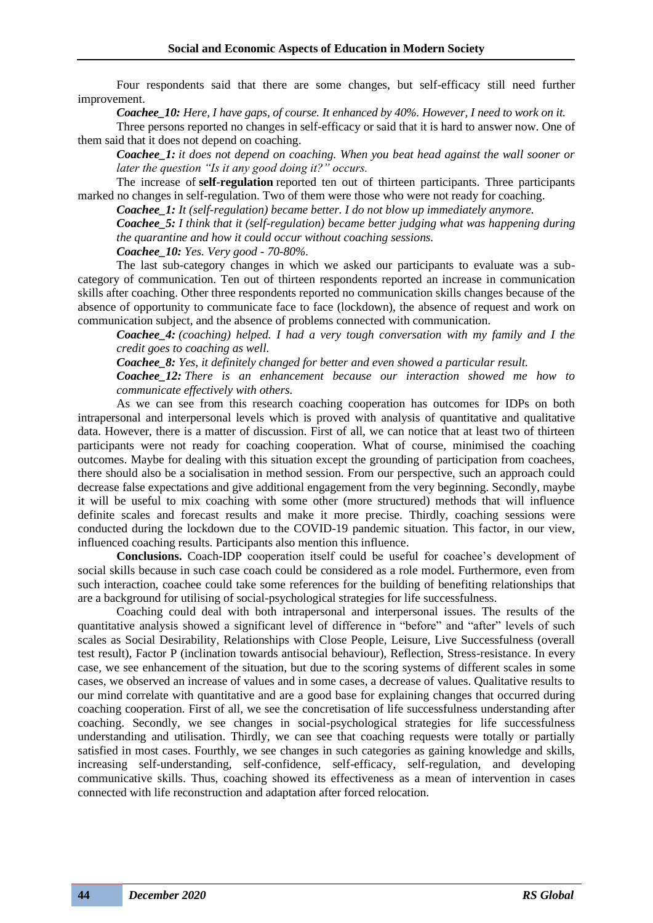Four respondents said that there are some changes, but self-efficacy still need further improvement.

*Coachee\_10: Here, I have gaps, of course. It enhanced by 40%. However, I need to work on it.*

Three persons reported no changes in self-efficacy or said that it is hard to answer now. One of them said that it does not depend on coaching.

*Coachee\_1: it does not depend on coaching. When you beat head against the wall sooner or later the question "Is it any good doing it?" occurs.*

The increase of **self-regulation** reported ten out of thirteen participants. Three participants marked no changes in self-regulation. Two of them were those who were not ready for coaching.

*Coachee\_1: It (self-regulation) became better. I do not blow up immediately anymore.*

*Coachee\_5: I think that it (self-regulation) became better judging what was happening during the quarantine and how it could occur without coaching sessions.*

*Coachee\_10: Yes. Very good - 70-80%.*

The last sub-category changes in which we asked our participants to evaluate was a subcategory of communication. Ten out of thirteen respondents reported an increase in communication skills after coaching. Other three respondents reported no communication skills changes because of the absence of opportunity to communicate face to face (lockdown), the absence of request and work on communication subject, and the absence of problems connected with communication.

*Coachee\_4: (coaching) helped. I had a very tough conversation with my family and I the credit goes to coaching as well.*

*Coachee\_8: Yes, it definitely changed for better and even showed a particular result.*

*Coachee\_12: There is an enhancement because our interaction showed me how to communicate effectively with others.*

As we can see from this research coaching cooperation has outcomes for IDPs on both intrapersonal and interpersonal levels which is proved with analysis of quantitative and qualitative data. However, there is a matter of discussion. First of all, we can notice that at least two of thirteen participants were not ready for coaching cooperation. What of course, minimised the coaching outcomes. Maybe for dealing with this situation except the grounding of participation from coachees, there should also be a socialisation in method session. From our perspective, such an approach could decrease false expectations and give additional engagement from the very beginning. Secondly, maybe it will be useful to mix coaching with some other (more structured) methods that will influence definite scales and forecast results and make it more precise. Thirdly, coaching sessions were conducted during the lockdown due to the COVID-19 pandemic situation. This factor, in our view, influenced coaching results. Participants also mention this influence.

**Conclusions.** Coach-IDP cooperation itself could be useful for coachee's development of social skills because in such case coach could be considered as a role model. Furthermore, even from such interaction, coachee could take some references for the building of benefiting relationships that are a background for utilising of social-psychological strategies for life successfulness.

Coaching could deal with both intrapersonal and interpersonal issues. The results of the quantitative analysis showed a significant level of difference in "before" and "after" levels of such scales as Social Desirability, Relationships with Close People, Leisure, Live Successfulness (overall test result), Factor P (inclination towards antisocial behaviour), Reflection, Stress-resistance. In every case, we see enhancement of the situation, but due to the scoring systems of different scales in some cases, we observed an increase of values and in some cases, a decrease of values. Qualitative results to our mind correlate with quantitative and are a good base for explaining changes that occurred during coaching cooperation. First of all, we see the concretisation of life successfulness understanding after coaching. Secondly, we see changes in social-psychological strategies for life successfulness understanding and utilisation. Thirdly, we can see that coaching requests were totally or partially satisfied in most cases. Fourthly, we see changes in such categories as gaining knowledge and skills, increasing self-understanding, self-confidence, self-efficacy, self-regulation, and developing communicative skills. Thus, coaching showed its effectiveness as a mean of intervention in cases connected with life reconstruction and adaptation after forced relocation.